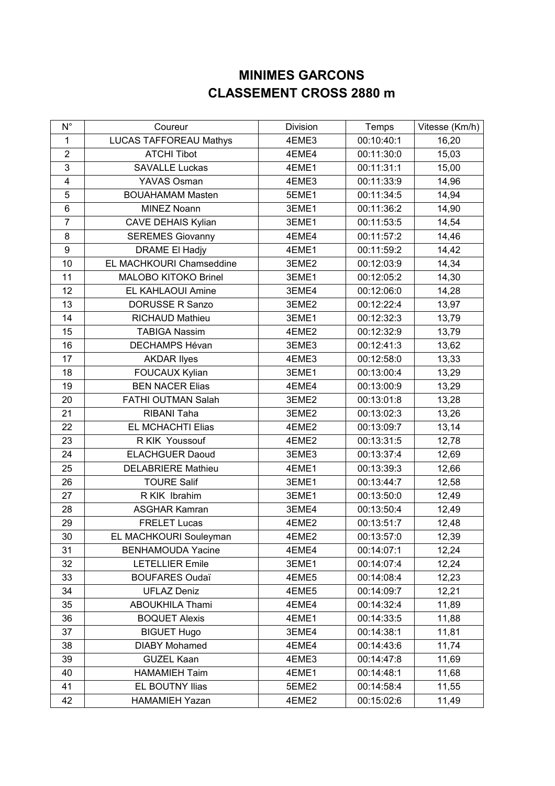## **MINIMES GARCONS CLASSEMENT CROSS 2880 m**

| $N^{\circ}$    | Coureur                       | Division | Temps      | Vitesse (Km/h) |
|----------------|-------------------------------|----------|------------|----------------|
| 1              | <b>LUCAS TAFFOREAU Mathys</b> | 4EME3    | 00:10:40:1 | 16,20          |
| $\overline{2}$ | <b>ATCHI Tibot</b>            | 4EME4    | 00:11:30:0 | 15,03          |
| 3              | <b>SAVALLE Luckas</b>         | 4EME1    | 00:11:31:1 | 15,00          |
| 4              | YAVAS Osman                   | 4EME3    | 00:11:33:9 | 14,96          |
| 5              | <b>BOUAHAMAM Masten</b>       | 5EME1    | 00:11:34:5 | 14,94          |
| $\,6\,$        | <b>MINEZ Noann</b>            | 3EME1    | 00:11:36:2 | 14,90          |
| $\overline{7}$ | <b>CAVE DEHAIS Kylian</b>     | 3EME1    | 00:11:53:5 | 14,54          |
| 8              | <b>SEREMES Giovanny</b>       | 4EME4    | 00:11:57:2 | 14,46          |
| 9              | <b>DRAME El Hadjy</b>         | 4EME1    | 00:11:59:2 | 14,42          |
| 10             | EL MACHKOURI Chamseddine      | 3EME2    | 00:12:03:9 | 14,34          |
| 11             | MALOBO KITOKO Brinel          | 3EME1    | 00:12:05:2 | 14,30          |
| 12             | EL KAHLAOUI Amine             | 3EME4    | 00:12:06:0 | 14,28          |
| 13             | <b>DORUSSE R Sanzo</b>        | 3EME2    | 00:12:22:4 | 13,97          |
| 14             | RICHAUD Mathieu               | 3EME1    | 00:12:32:3 | 13,79          |
| 15             | <b>TABIGA Nassim</b>          | 4EME2    | 00:12:32:9 | 13,79          |
| 16             | DECHAMPS Hévan                | 3EME3    | 00:12:41:3 | 13,62          |
| 17             | <b>AKDAR llyes</b>            | 4EME3    | 00:12:58:0 | 13,33          |
| 18             | FOUCAUX Kylian                | 3EME1    | 00:13:00:4 | 13,29          |
| 19             | <b>BEN NACER Elias</b>        | 4EME4    | 00:13:00:9 | 13,29          |
| 20             | FATHI OUTMAN Salah            | 3EME2    | 00:13:01:8 | 13,28          |
| 21             | RIBANI Taha                   | 3EME2    | 00:13:02:3 | 13,26          |
| 22             | EL MCHACHTI Elias             | 4EME2    | 00:13:09:7 | 13,14          |
| 23             | R KIK Youssouf                | 4EME2    | 00:13:31:5 | 12,78          |
| 24             | <b>ELACHGUER Daoud</b>        | 3EME3    | 00:13:37:4 | 12,69          |
| 25             | <b>DELABRIERE Mathieu</b>     | 4EME1    | 00:13:39:3 | 12,66          |
| 26             | <b>TOURE Salif</b>            | 3EME1    | 00:13:44:7 | 12,58          |
| 27             | R KIK Ibrahim                 | 3EME1    | 00:13:50:0 | 12,49          |
| 28             | <b>ASGHAR Kamran</b>          | 3EME4    | 00:13:50:4 | 12,49          |
| 29             | <b>FRELET Lucas</b>           | 4EME2    | 00:13:51:7 | 12,48          |
| 30             | EL MACHKOURI Souleyman        | 4EME2    | 00:13:57:0 | 12,39          |
| 31             | <b>BENHAMOUDA Yacine</b>      | 4EME4    | 00:14:07:1 | 12,24          |
| 32             | <b>LETELLIER Emile</b>        | 3EME1    | 00:14:07:4 | 12,24          |
| 33             | <b>BOUFARES Oudaï</b>         | 4EME5    | 00:14:08:4 | 12,23          |
| 34             | <b>UFLAZ Deniz</b>            | 4EME5    | 00:14:09:7 | 12,21          |
| 35             | <b>ABOUKHILA Thami</b>        | 4EME4    | 00:14:32:4 | 11,89          |
| 36             | <b>BOQUET Alexis</b>          | 4EME1    | 00:14:33:5 | 11,88          |
| 37             | <b>BIGUET Hugo</b>            | 3EME4    | 00:14:38:1 | 11,81          |
| 38             | <b>DIABY Mohamed</b>          | 4EME4    | 00:14:43:6 | 11,74          |
| 39             | <b>GUZEL Kaan</b>             | 4EME3    | 00:14:47:8 | 11,69          |
| 40             | <b>HAMAMIEH Taim</b>          | 4EME1    | 00:14:48:1 | 11,68          |
| 41             | EL BOUTNY Ilias               | 5EME2    | 00:14:58:4 | 11,55          |
| 42             | <b>HAMAMIEH Yazan</b>         | 4EME2    | 00:15:02:6 | 11,49          |